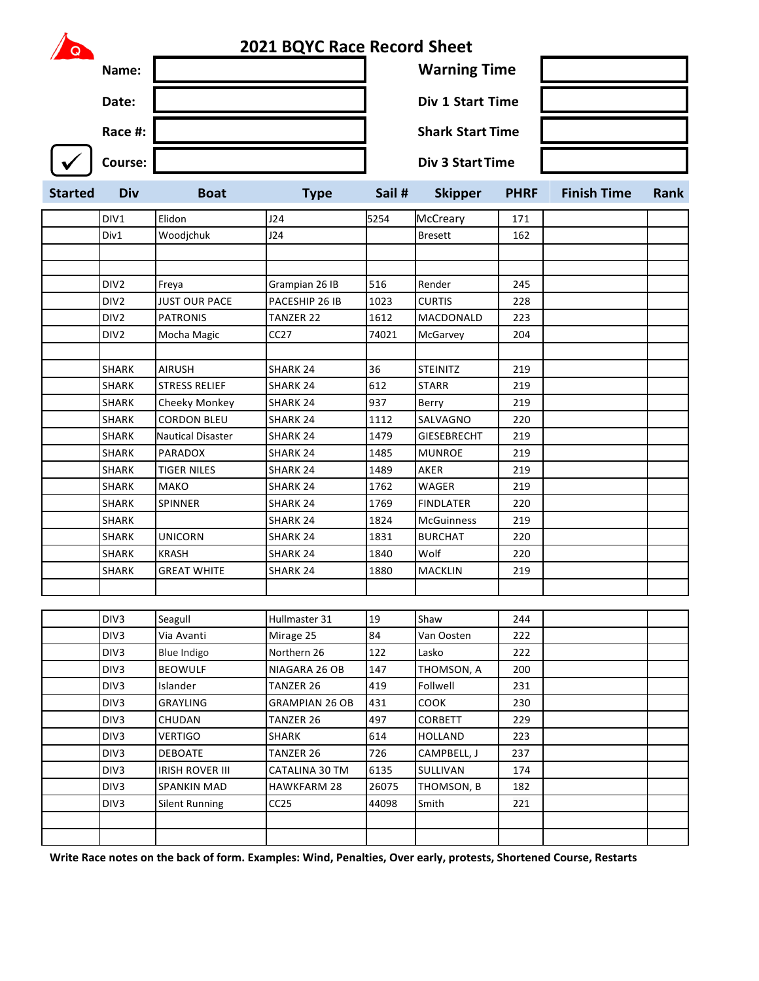| Q              |         | <b>2021 BQYC Race Record Sheet</b> |      |        |                         |             |                    |      |
|----------------|---------|------------------------------------|------|--------|-------------------------|-------------|--------------------|------|
|                | Name:   |                                    |      |        | <b>Warning Time</b>     |             |                    |      |
|                | Date:   |                                    |      |        | <b>Div 1 Start Time</b> |             |                    |      |
|                | Race #: |                                    |      |        | <b>Shark Start Time</b> |             |                    |      |
|                | Course: |                                    |      |        | <b>Div 3 Start Time</b> |             |                    |      |
| <b>Started</b> | Div     | <b>Boat</b>                        | Type | Sail # | <b>Skipper</b>          | <b>PHRF</b> | <b>Finish Time</b> | Rank |

| DIV1             | Elidon                   | J24                   | 5254  | McCreary           | 171 |  |
|------------------|--------------------------|-----------------------|-------|--------------------|-----|--|
| Div1             | Woodjchuk                | J24                   |       | <b>Bresett</b>     | 162 |  |
|                  |                          |                       |       |                    |     |  |
|                  |                          |                       |       |                    |     |  |
| DIV <sub>2</sub> | Freya                    | Grampian 26 IB        | 516   | Render             | 245 |  |
| DIV <sub>2</sub> | <b>JUST OUR PACE</b>     | PACESHIP 26 IB        | 1023  | <b>CURTIS</b>      | 228 |  |
| DIV <sub>2</sub> | <b>PATRONIS</b>          | TANZER 22             | 1612  | MACDONALD          | 223 |  |
| DIV <sub>2</sub> | Mocha Magic              | CC27                  | 74021 | McGarvey           | 204 |  |
|                  |                          |                       |       |                    |     |  |
| <b>SHARK</b>     | <b>AIRUSH</b>            | <b>SHARK 24</b>       | 36    | <b>STEINITZ</b>    | 219 |  |
| <b>SHARK</b>     | <b>STRESS RELIEF</b>     | SHARK 24              | 612   | <b>STARR</b>       | 219 |  |
| <b>SHARK</b>     | Cheeky Monkey            | <b>SHARK 24</b>       | 937   | Berry              | 219 |  |
| <b>SHARK</b>     | <b>CORDON BLEU</b>       | <b>SHARK 24</b>       | 1112  | SALVAGNO           | 220 |  |
| <b>SHARK</b>     | <b>Nautical Disaster</b> | <b>SHARK 24</b>       | 1479  | <b>GIESEBRECHT</b> | 219 |  |
| <b>SHARK</b>     | PARADOX                  | SHARK 24              | 1485  | <b>MUNROE</b>      | 219 |  |
| SHARK            | <b>TIGER NILES</b>       | SHARK 24              | 1489  | AKER               | 219 |  |
| <b>SHARK</b>     | <b>MAKO</b>              | <b>SHARK 24</b>       | 1762  | <b>WAGER</b>       | 219 |  |
| SHARK            | <b>SPINNER</b>           | SHARK 24              | 1769  | <b>FINDLATER</b>   | 220 |  |
| SHARK            |                          | SHARK 24              | 1824  | <b>McGuinness</b>  | 219 |  |
| SHARK            | <b>UNICORN</b>           | SHARK 24              | 1831  | <b>BURCHAT</b>     | 220 |  |
| SHARK            | <b>KRASH</b>             | SHARK 24              | 1840  | Wolf               | 220 |  |
| <b>SHARK</b>     | <b>GREAT WHITE</b>       | SHARK <sub>24</sub>   | 1880  | <b>MACKLIN</b>     | 219 |  |
|                  |                          |                       |       |                    |     |  |
|                  |                          |                       |       |                    |     |  |
| DIV3             | Seagull                  | Hullmaster 31         | 19    | Shaw               | 244 |  |
| DIV3             | Via Avanti               | Mirage 25             | 84    | Van Oosten         | 222 |  |
| DIV3             | Blue Indigo              | Northern 26           | 122   | Lasko              | 222 |  |
| DIV <sub>3</sub> | <b>BEOWULF</b>           | NIAGARA 26 OB         | 147   | THOMSON, A         | 200 |  |
| DIV3             | Islander                 | TANZER 26             | 419   | Follwell           | 231 |  |
| DIV3             | <b>GRAYLING</b>          | <b>GRAMPIAN 26 OB</b> | 431   | COOK               | 230 |  |

| DIV3.            | Hslander               | IANZER 26             | 1419  | Follwell       | 231 |  |
|------------------|------------------------|-----------------------|-------|----------------|-----|--|
| DIV <sub>3</sub> | <b>GRAYLING</b>        | <b>GRAMPIAN 26 OB</b> | 431   | <b>COOK</b>    | 230 |  |
| DIV <sub>3</sub> | <b>CHUDAN</b>          | TANZER 26             | 497   | <b>CORBETT</b> | 229 |  |
| DIV <sub>3</sub> | <b>VERTIGO</b>         | <b>SHARK</b>          | 614   | <b>HOLLAND</b> | 223 |  |
| DIV <sub>3</sub> | <b>DEBOATE</b>         | TANZER 26             | 726   | CAMPBELL, J    | 237 |  |
| DIV <sub>3</sub> | <b>IRISH ROVER III</b> | CATALINA 30 TM        | 6135  | SULLIVAN       | 174 |  |
| DIV <sub>3</sub> | <b>SPANKIN MAD</b>     | <b>HAWKFARM 28</b>    | 26075 | THOMSON, B     | 182 |  |
| DIV <sub>3</sub> | Silent Running         | CC25                  | 44098 | Smith          | 221 |  |
|                  |                        |                       |       |                |     |  |
|                  |                        |                       |       |                |     |  |

**Write Race notes on the back of form. Examples: Wind, Penalties, Over early, protests, Shortened Course, Restarts**